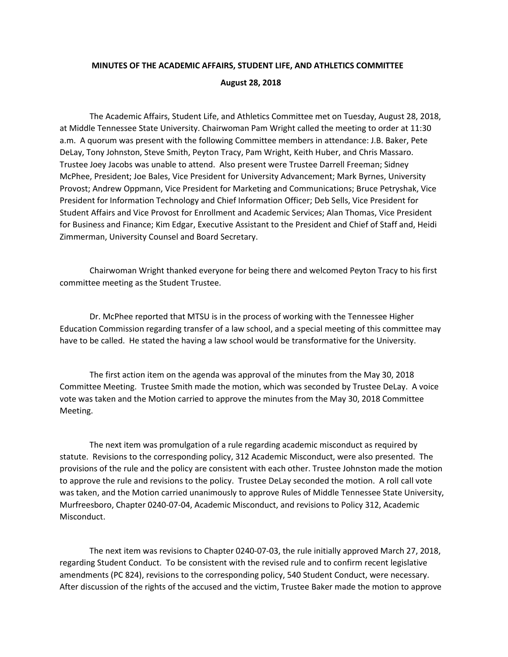## **MINUTES OF THE ACADEMIC AFFAIRS, STUDENT LIFE, AND ATHLETICS COMMITTEE August 28, 2018**

The Academic Affairs, Student Life, and Athletics Committee met on Tuesday, August 28, 2018, at Middle Tennessee State University. Chairwoman Pam Wright called the meeting to order at 11:30 a.m. A quorum was present with the following Committee members in attendance: J.B. Baker, Pete DeLay, Tony Johnston, Steve Smith, Peyton Tracy, Pam Wright, Keith Huber, and Chris Massaro. Trustee Joey Jacobs was unable to attend. Also present were Trustee Darrell Freeman; Sidney McPhee, President; Joe Bales, Vice President for University Advancement; Mark Byrnes, University Provost; Andrew Oppmann, Vice President for Marketing and Communications; Bruce Petryshak, Vice President for Information Technology and Chief Information Officer; Deb Sells, Vice President for Student Affairs and Vice Provost for Enrollment and Academic Services; Alan Thomas, Vice President for Business and Finance; Kim Edgar, Executive Assistant to the President and Chief of Staff and, Heidi Zimmerman, University Counsel and Board Secretary.

Chairwoman Wright thanked everyone for being there and welcomed Peyton Tracy to his first committee meeting as the Student Trustee.

Dr. McPhee reported that MTSU is in the process of working with the Tennessee Higher Education Commission regarding transfer of a law school, and a special meeting of this committee may have to be called. He stated the having a law school would be transformative for the University.

The first action item on the agenda was approval of the minutes from the May 30, 2018 Committee Meeting. Trustee Smith made the motion, which was seconded by Trustee DeLay. A voice vote was taken and the Motion carried to approve the minutes from the May 30, 2018 Committee Meeting.

The next item was promulgation of a rule regarding academic misconduct as required by statute. Revisions to the corresponding policy, 312 Academic Misconduct, were also presented. The provisions of the rule and the policy are consistent with each other. Trustee Johnston made the motion to approve the rule and revisions to the policy. Trustee DeLay seconded the motion. A roll call vote was taken, and the Motion carried unanimously to approve Rules of Middle Tennessee State University, Murfreesboro, Chapter 0240-07-04, Academic Misconduct, and revisions to Policy 312, Academic Misconduct.

The next item was revisions to Chapter 0240-07-03, the rule initially approved March 27, 2018, regarding Student Conduct. To be consistent with the revised rule and to confirm recent legislative amendments (PC 824), revisions to the corresponding policy, 540 Student Conduct, were necessary. After discussion of the rights of the accused and the victim, Trustee Baker made the motion to approve